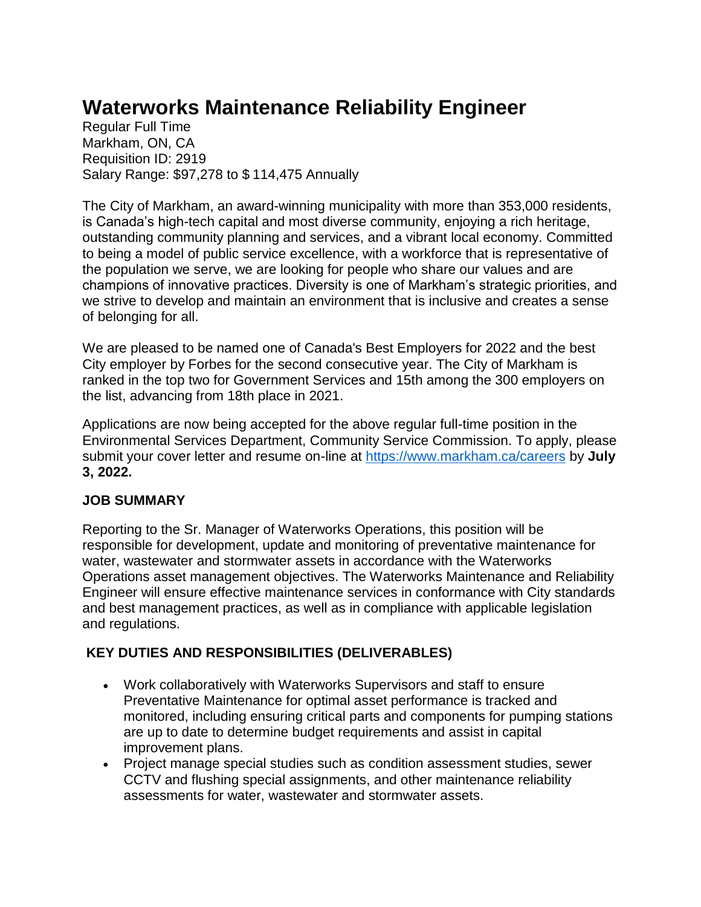# **Waterworks Maintenance Reliability Engineer**

Regular Full Time Markham, ON, CA Requisition ID: 2919 Salary Range: \$97,278 to \$ 114,475 Annually

The City of Markham, an award-winning municipality with more than 353,000 residents, is Canada's high-tech capital and most diverse community, enjoying a rich heritage, outstanding community planning and services, and a vibrant local economy. Committed to being a model of public service excellence, with a workforce that is representative of the population we serve, we are looking for people who share our values and are champions of innovative practices. Diversity is one of Markham's strategic priorities, and we strive to develop and maintain an environment that is inclusive and creates a sense of belonging for all.

We are pleased to be named one of Canada's Best Employers for 2022 and the best City employer by Forbes for the second consecutive year. The City of Markham is ranked in the top two for Government Services and 15th among the 300 employers on the list, advancing from 18th place in 2021.

Applications are now being accepted for the above regular full-time position in the Environmental Services Department, Community Service Commission. To apply, please submit your cover letter and resume on-line at<https://www.markham.ca/careers> by **July 3, 2022.**

### **JOB SUMMARY**

Reporting to the Sr. Manager of Waterworks Operations, this position will be responsible for development, update and monitoring of preventative maintenance for water, wastewater and stormwater assets in accordance with the Waterworks Operations asset management objectives. The Waterworks Maintenance and Reliability Engineer will ensure effective maintenance services in conformance with City standards and best management practices, as well as in compliance with applicable legislation and regulations.

## **KEY DUTIES AND RESPONSIBILITIES (DELIVERABLES)**

- Work collaboratively with Waterworks Supervisors and staff to ensure Preventative Maintenance for optimal asset performance is tracked and monitored, including ensuring critical parts and components for pumping stations are up to date to determine budget requirements and assist in capital improvement plans.
- Project manage special studies such as condition assessment studies, sewer CCTV and flushing special assignments, and other maintenance reliability assessments for water, wastewater and stormwater assets.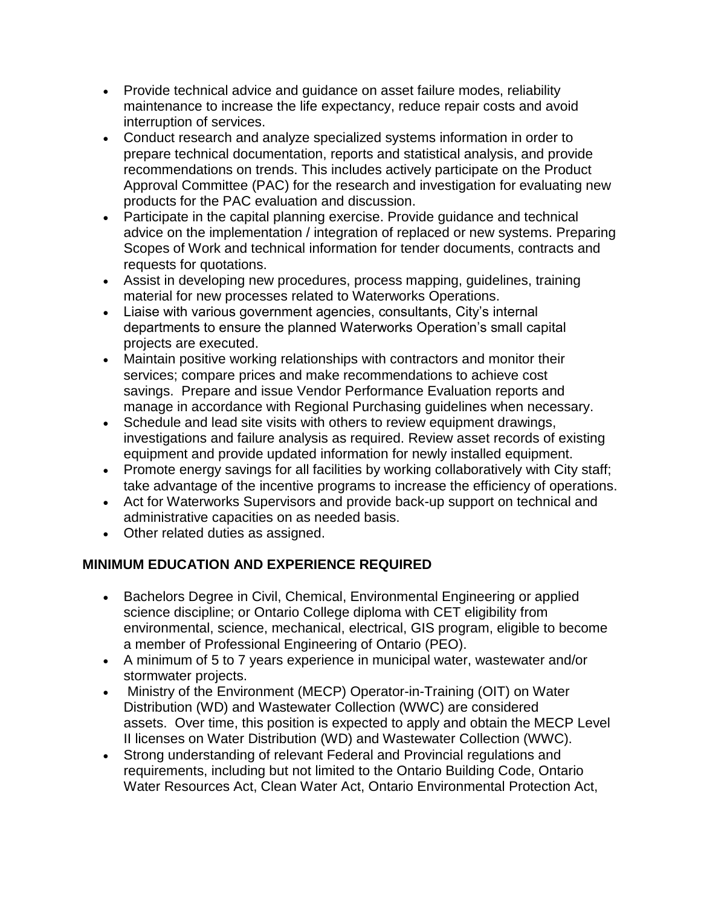- Provide technical advice and guidance on asset failure modes, reliability maintenance to increase the life expectancy, reduce repair costs and avoid interruption of services.
- Conduct research and analyze specialized systems information in order to prepare technical documentation, reports and statistical analysis, and provide recommendations on trends. This includes actively participate on the Product Approval Committee (PAC) for the research and investigation for evaluating new products for the PAC evaluation and discussion.
- Participate in the capital planning exercise. Provide guidance and technical advice on the implementation / integration of replaced or new systems. Preparing Scopes of Work and technical information for tender documents, contracts and requests for quotations.
- Assist in developing new procedures, process mapping, guidelines, training material for new processes related to Waterworks Operations.
- Liaise with various government agencies, consultants, City's internal departments to ensure the planned Waterworks Operation's small capital projects are executed.
- Maintain positive working relationships with contractors and monitor their services; compare prices and make recommendations to achieve cost savings. Prepare and issue Vendor Performance Evaluation reports and manage in accordance with Regional Purchasing guidelines when necessary.
- Schedule and lead site visits with others to review equipment drawings, investigations and failure analysis as required. Review asset records of existing equipment and provide updated information for newly installed equipment.
- Promote energy savings for all facilities by working collaboratively with City staff; take advantage of the incentive programs to increase the efficiency of operations.
- Act for Waterworks Supervisors and provide back-up support on technical and administrative capacities on as needed basis.
- Other related duties as assigned.

### **MINIMUM EDUCATION AND EXPERIENCE REQUIRED**

- Bachelors Degree in Civil, Chemical, Environmental Engineering or applied science discipline; or Ontario College diploma with CET eligibility from environmental, science, mechanical, electrical, GIS program, eligible to become a member of Professional Engineering of Ontario (PEO).
- A minimum of 5 to 7 years experience in municipal water, wastewater and/or stormwater projects.
- Ministry of the Environment (MECP) Operator-in-Training (OIT) on Water Distribution (WD) and Wastewater Collection (WWC) are considered assets. Over time, this position is expected to apply and obtain the MECP Level II licenses on Water Distribution (WD) and Wastewater Collection (WWC).
- Strong understanding of relevant Federal and Provincial regulations and requirements, including but not limited to the Ontario Building Code, Ontario Water Resources Act, Clean Water Act, Ontario Environmental Protection Act,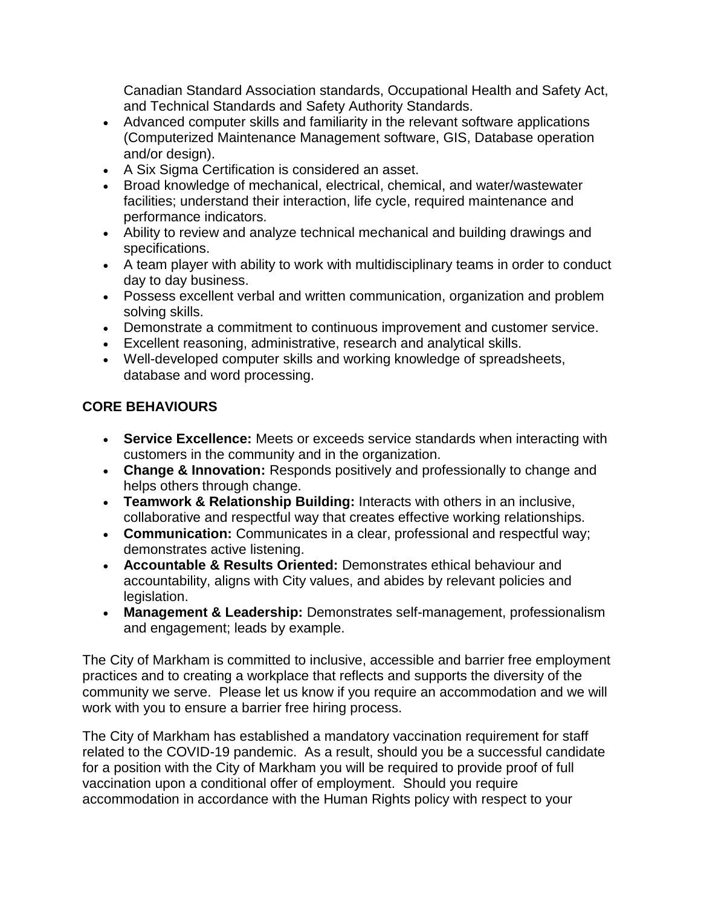Canadian Standard Association standards, Occupational Health and Safety Act, and Technical Standards and Safety Authority Standards.

- Advanced computer skills and familiarity in the relevant software applications (Computerized Maintenance Management software, GIS, Database operation and/or design).
- A Six Sigma Certification is considered an asset.
- Broad knowledge of mechanical, electrical, chemical, and water/wastewater facilities; understand their interaction, life cycle, required maintenance and performance indicators.
- Ability to review and analyze technical mechanical and building drawings and specifications.
- A team player with ability to work with multidisciplinary teams in order to conduct day to day business.
- Possess excellent verbal and written communication, organization and problem solving skills.
- Demonstrate a commitment to continuous improvement and customer service.
- Excellent reasoning, administrative, research and analytical skills.
- Well-developed computer skills and working knowledge of spreadsheets, database and word processing.

## **CORE BEHAVIOURS**

- **Service Excellence:** Meets or exceeds service standards when interacting with customers in the community and in the organization.
- **Change & Innovation:** Responds positively and professionally to change and helps others through change.
- **Teamwork & Relationship Building:** Interacts with others in an inclusive, collaborative and respectful way that creates effective working relationships.
- **Communication:** Communicates in a clear, professional and respectful way; demonstrates active listening.
- **Accountable & Results Oriented:** Demonstrates ethical behaviour and accountability, aligns with City values, and abides by relevant policies and legislation.
- **Management & Leadership:** Demonstrates self-management, professionalism and engagement; leads by example.

The City of Markham is committed to inclusive, accessible and barrier free employment practices and to creating a workplace that reflects and supports the diversity of the community we serve. Please let us know if you require an accommodation and we will work with you to ensure a barrier free hiring process.

The City of Markham has established a mandatory vaccination requirement for staff related to the COVID-19 pandemic. As a result, should you be a successful candidate for a position with the City of Markham you will be required to provide proof of full vaccination upon a conditional offer of employment. Should you require accommodation in accordance with the Human Rights policy with respect to your